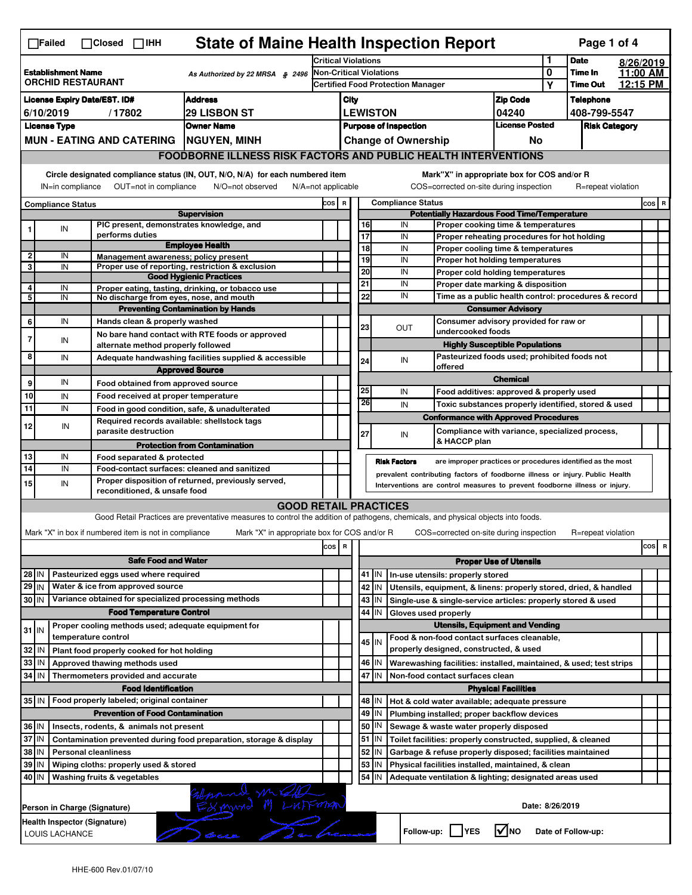| <b>State of Maine Health Inspection Report</b><br>Page 1 of 4<br>$\Box$ Failed<br>$\Box$ Closed $\Box$ IHH                                                                |                                                |  |                                                                            |                                                                                                                                                                   |      |                                                                                   |                       |                          |                            |                                                                                           |                               |                  |                    |                      |     |   |
|---------------------------------------------------------------------------------------------------------------------------------------------------------------------------|------------------------------------------------|--|----------------------------------------------------------------------------|-------------------------------------------------------------------------------------------------------------------------------------------------------------------|------|-----------------------------------------------------------------------------------|-----------------------|--------------------------|----------------------------|-------------------------------------------------------------------------------------------|-------------------------------|------------------|--------------------|----------------------|-----|---|
|                                                                                                                                                                           |                                                |  |                                                                            | <b>Critical Violations</b>                                                                                                                                        |      |                                                                                   |                       |                          |                            | 1                                                                                         | <b>Date</b>                   |                  | 8/26/2019          |                      |     |   |
| <b>Establishment Name</b><br>As Authorized by 22 MRSA § 2496<br><b>ORCHID RESTAURANT</b>                                                                                  |                                                |  | Non-Critical Violations                                                    |                                                                                                                                                                   |      |                                                                                   |                       |                          | 0                          | Time In                                                                                   |                               | 11:00 AM         |                    |                      |     |   |
|                                                                                                                                                                           |                                                |  |                                                                            | <b>Certified Food Protection Manager</b>                                                                                                                          |      |                                                                                   |                       |                          |                            | Υ                                                                                         | <b>Time Out</b>               |                  | 12:15 PM           |                      |     |   |
| <b>Address</b><br><b>License Expiry Date/EST. ID#</b>                                                                                                                     |                                                |  |                                                                            |                                                                                                                                                                   | City |                                                                                   |                       |                          |                            | <b>Zip Code</b>                                                                           |                               | <b>Telephone</b> |                    |                      |     |   |
| <b>29 LISBON ST</b><br>6/10/2019<br>/17802                                                                                                                                |                                                |  |                                                                            |                                                                                                                                                                   |      | <b>LEWISTON</b><br>04240<br><b>License Posted</b><br><b>Purpose of Inspection</b> |                       |                          |                            |                                                                                           |                               | 408-799-5547     |                    |                      |     |   |
|                                                                                                                                                                           | <b>License Type</b>                            |  |                                                                            | <b>Owner Name</b>                                                                                                                                                 |      |                                                                                   |                       |                          |                            |                                                                                           |                               |                  |                    | <b>Risk Category</b> |     |   |
|                                                                                                                                                                           |                                                |  | <b>MUN - EATING AND CATERING</b>                                           | NGUYEN, MINH                                                                                                                                                      |      |                                                                                   |                       |                          | <b>Change of Ownership</b> |                                                                                           | No                            |                  |                    |                      |     |   |
|                                                                                                                                                                           |                                                |  |                                                                            | <b>FOODBORNE ILLNESS RISK FACTORS AND PUBLIC HEALTH INTERVENTIONS</b>                                                                                             |      |                                                                                   |                       |                          |                            |                                                                                           |                               |                  |                    |                      |     |   |
| Circle designated compliance status (IN, OUT, N/O, N/A) for each numbered item<br>OUT=not in compliance<br>IN=in compliance<br>N/O=not observed<br>$N/A = not$ applicable |                                                |  |                                                                            |                                                                                                                                                                   |      |                                                                                   |                       |                          |                            | Mark"X" in appropriate box for COS and/or R<br>COS=corrected on-site during inspection    |                               |                  |                    | R=repeat violation   |     |   |
| <b>Compliance Status</b>                                                                                                                                                  |                                                |  |                                                                            | COS R                                                                                                                                                             |      |                                                                                   |                       | <b>Compliance Status</b> |                            |                                                                                           |                               |                  |                    | COS R                |     |   |
|                                                                                                                                                                           |                                                |  |                                                                            | <b>Supervision</b>                                                                                                                                                |      |                                                                                   |                       |                          |                            | <b>Potentially Hazardous Food Time/Temperature</b>                                        |                               |                  |                    |                      |     |   |
|                                                                                                                                                                           | IN                                             |  | PIC present, demonstrates knowledge, and                                   |                                                                                                                                                                   |      |                                                                                   | 16                    |                          | IN                         | Proper cooking time & temperatures                                                        |                               |                  |                    |                      |     |   |
|                                                                                                                                                                           |                                                |  | performs duties                                                            | <b>Employee Health</b>                                                                                                                                            |      |                                                                                   | $\overline{17}$<br>18 |                          | IN<br>IN                   | Proper reheating procedures for hot holding                                               |                               |                  |                    |                      |     |   |
| 2                                                                                                                                                                         | IN                                             |  | Management awareness; policy present                                       |                                                                                                                                                                   |      |                                                                                   | 19                    |                          | IN                         | Proper cooling time & temperatures<br>Proper hot holding temperatures                     |                               |                  |                    |                      |     |   |
| 3                                                                                                                                                                         | IN                                             |  |                                                                            | Proper use of reporting, restriction & exclusion                                                                                                                  |      |                                                                                   | $\overline{20}$       |                          | IN                         | Proper cold holding temperatures                                                          |                               |                  |                    |                      |     |   |
|                                                                                                                                                                           |                                                |  |                                                                            | <b>Good Hygienic Practices</b>                                                                                                                                    |      |                                                                                   | 21                    |                          | IN                         |                                                                                           |                               |                  |                    |                      |     |   |
| 4<br>5                                                                                                                                                                    | IN<br>IN                                       |  | No discharge from eyes, nose, and mouth                                    | Proper eating, tasting, drinking, or tobacco use                                                                                                                  |      |                                                                                   | 22                    |                          | IN                         | Proper date marking & disposition<br>Time as a public health control: procedures & record |                               |                  |                    |                      |     |   |
|                                                                                                                                                                           |                                                |  |                                                                            | <b>Preventing Contamination by Hands</b>                                                                                                                          |      |                                                                                   |                       |                          |                            |                                                                                           | <b>Consumer Advisory</b>      |                  |                    |                      |     |   |
| 6                                                                                                                                                                         | IN                                             |  | Hands clean & properly washed                                              |                                                                                                                                                                   |      |                                                                                   |                       |                          |                            | Consumer advisory provided for raw or                                                     |                               |                  |                    |                      |     |   |
|                                                                                                                                                                           |                                                |  |                                                                            | No bare hand contact with RTE foods or approved                                                                                                                   |      |                                                                                   | 23                    |                          | <b>OUT</b>                 | undercooked foods                                                                         |                               |                  |                    |                      |     |   |
| 7                                                                                                                                                                         | IN                                             |  | alternate method properly followed                                         |                                                                                                                                                                   |      |                                                                                   |                       |                          |                            | <b>Highly Susceptible Populations</b>                                                     |                               |                  |                    |                      |     |   |
| 8                                                                                                                                                                         | IN                                             |  |                                                                            | Adequate handwashing facilities supplied & accessible                                                                                                             |      |                                                                                   | 24                    |                          | IN                         | Pasteurized foods used; prohibited foods not                                              |                               |                  |                    |                      |     |   |
|                                                                                                                                                                           |                                                |  |                                                                            | <b>Approved Source</b>                                                                                                                                            |      |                                                                                   |                       |                          |                            | offered                                                                                   |                               |                  |                    |                      |     |   |
| 9                                                                                                                                                                         | IN                                             |  | Food obtained from approved source                                         |                                                                                                                                                                   |      |                                                                                   |                       |                          |                            |                                                                                           | <b>Chemical</b>               |                  |                    |                      |     |   |
| 10                                                                                                                                                                        | IN                                             |  | Food received at proper temperature                                        |                                                                                                                                                                   |      |                                                                                   | 25<br>26              |                          | IN                         | Food additives: approved & properly used                                                  |                               |                  |                    |                      |     |   |
| 11                                                                                                                                                                        | IN                                             |  |                                                                            | Food in good condition, safe, & unadulterated                                                                                                                     |      |                                                                                   |                       |                          | IN                         | Toxic substances properly identified, stored & used                                       |                               |                  |                    |                      |     |   |
| 12                                                                                                                                                                        | IN                                             |  | Required records available: shellstock tags                                |                                                                                                                                                                   |      |                                                                                   |                       |                          |                            | <b>Conformance with Approved Procedures</b>                                               |                               |                  |                    |                      |     |   |
|                                                                                                                                                                           |                                                |  | parasite destruction                                                       |                                                                                                                                                                   |      |                                                                                   | 27                    |                          | IN                         | Compliance with variance, specialized process,                                            |                               |                  |                    |                      |     |   |
|                                                                                                                                                                           |                                                |  |                                                                            |                                                                                                                                                                   |      |                                                                                   |                       |                          |                            |                                                                                           |                               |                  |                    |                      |     |   |
|                                                                                                                                                                           |                                                |  |                                                                            | <b>Protection from Contamination</b>                                                                                                                              |      |                                                                                   |                       |                          |                            | & HACCP plan                                                                              |                               |                  |                    |                      |     |   |
| 13                                                                                                                                                                        | IN                                             |  | Food separated & protected                                                 |                                                                                                                                                                   |      |                                                                                   |                       | <b>Risk Factors</b>      |                            | are improper practices or procedures identified as the most                               |                               |                  |                    |                      |     |   |
| 14                                                                                                                                                                        | IN                                             |  |                                                                            | Food-contact surfaces: cleaned and sanitized                                                                                                                      |      |                                                                                   |                       |                          |                            | prevalent contributing factors of foodborne illness or injury. Public Health              |                               |                  |                    |                      |     |   |
| 15                                                                                                                                                                        | IN                                             |  | reconditioned, & unsafe food                                               | Proper disposition of returned, previously served,                                                                                                                |      |                                                                                   |                       |                          |                            | Interventions are control measures to prevent foodborne illness or injury.                |                               |                  |                    |                      |     |   |
|                                                                                                                                                                           |                                                |  |                                                                            |                                                                                                                                                                   |      |                                                                                   |                       |                          |                            |                                                                                           |                               |                  |                    |                      |     |   |
|                                                                                                                                                                           |                                                |  |                                                                            | <b>GOOD RETAIL PRACTICES</b><br>Good Retail Practices are preventative measures to control the addition of pathogens, chemicals, and physical objects into foods. |      |                                                                                   |                       |                          |                            |                                                                                           |                               |                  |                    |                      |     |   |
|                                                                                                                                                                           |                                                |  |                                                                            |                                                                                                                                                                   |      |                                                                                   |                       |                          |                            |                                                                                           |                               |                  |                    | R=repeat violation   |     |   |
|                                                                                                                                                                           |                                                |  | Mark "X" in box if numbered item is not in compliance                      | Mark "X" in appropriate box for COS and/or R                                                                                                                      |      |                                                                                   |                       |                          |                            | COS=corrected on-site during inspection                                                   |                               |                  |                    |                      |     |   |
|                                                                                                                                                                           |                                                |  |                                                                            |                                                                                                                                                                   | cos  | R                                                                                 |                       |                          |                            |                                                                                           |                               |                  |                    |                      | cos | R |
|                                                                                                                                                                           |                                                |  | <b>Safe Food and Water</b>                                                 |                                                                                                                                                                   |      |                                                                                   |                       |                          |                            |                                                                                           | <b>Proper Use of Utensils</b> |                  |                    |                      |     |   |
| 28 IN                                                                                                                                                                     |                                                |  | Pasteurized eggs used where required                                       |                                                                                                                                                                   |      |                                                                                   | $41$ IN               |                          |                            | In-use utensils: properly stored                                                          |                               |                  |                    |                      |     |   |
| 29 IN                                                                                                                                                                     |                                                |  | Water & ice from approved source                                           |                                                                                                                                                                   |      |                                                                                   | 42 IN                 |                          |                            | Utensils, equipment, & linens: properly stored, dried, & handled                          |                               |                  |                    |                      |     |   |
| 30 IN                                                                                                                                                                     |                                                |  | Variance obtained for specialized processing methods                       |                                                                                                                                                                   |      |                                                                                   | 43   IN               |                          |                            | Single-use & single-service articles: properly stored & used                              |                               |                  |                    |                      |     |   |
|                                                                                                                                                                           |                                                |  | <b>Food Temperature Control</b>                                            |                                                                                                                                                                   |      |                                                                                   | 44                    | IN                       | Gloves used properly       |                                                                                           |                               |                  |                    |                      |     |   |
| $31$ M                                                                                                                                                                    |                                                |  | Proper cooling methods used; adequate equipment for<br>temperature control |                                                                                                                                                                   |      |                                                                                   |                       |                          |                            | <b>Utensils, Equipment and Vending</b>                                                    |                               |                  |                    |                      |     |   |
| 32                                                                                                                                                                        | IN                                             |  |                                                                            |                                                                                                                                                                   |      |                                                                                   | 45 IN                 |                          |                            | Food & non-food contact surfaces cleanable,<br>properly designed, constructed, & used     |                               |                  |                    |                      |     |   |
|                                                                                                                                                                           | IN                                             |  | Plant food properly cooked for hot holding                                 |                                                                                                                                                                   |      |                                                                                   |                       |                          |                            |                                                                                           |                               |                  |                    |                      |     |   |
| 33                                                                                                                                                                        | l IN                                           |  | Approved thawing methods used                                              |                                                                                                                                                                   |      |                                                                                   | 46   IN<br>47         | İΙN                      |                            | Warewashing facilities: installed, maintained, & used; test strips                        |                               |                  |                    |                      |     |   |
| 34                                                                                                                                                                        |                                                |  | Thermometers provided and accurate<br><b>Food Identification</b>           |                                                                                                                                                                   |      |                                                                                   |                       |                          |                            | Non-food contact surfaces clean                                                           |                               |                  |                    |                      |     |   |
|                                                                                                                                                                           |                                                |  | 35 IN   Food properly labeled; original container                          |                                                                                                                                                                   |      |                                                                                   | 48                    | ΙN                       |                            | Hot & cold water available; adequate pressure                                             | <b>Physical Facilities</b>    |                  |                    |                      |     |   |
|                                                                                                                                                                           |                                                |  | <b>Prevention of Food Contamination</b>                                    |                                                                                                                                                                   |      |                                                                                   | 49 IN                 |                          |                            | Plumbing installed; proper backflow devices                                               |                               |                  |                    |                      |     |   |
| 36 IN                                                                                                                                                                     |                                                |  | Insects, rodents, & animals not present                                    |                                                                                                                                                                   |      |                                                                                   | 50   IN               |                          |                            | Sewage & waste water properly disposed                                                    |                               |                  |                    |                      |     |   |
| 37 IN                                                                                                                                                                     |                                                |  |                                                                            | Contamination prevented during food preparation, storage & display                                                                                                |      |                                                                                   | 51   IN               |                          |                            | Toilet facilities: properly constructed, supplied, & cleaned                              |                               |                  |                    |                      |     |   |
| 38 IN                                                                                                                                                                     |                                                |  | <b>Personal cleanliness</b>                                                |                                                                                                                                                                   |      |                                                                                   | 52                    | IN                       |                            | Garbage & refuse properly disposed; facilities maintained                                 |                               |                  |                    |                      |     |   |
| 39 IN                                                                                                                                                                     |                                                |  | Wiping cloths: properly used & stored                                      |                                                                                                                                                                   |      |                                                                                   | 53                    | IN                       |                            | Physical facilities installed, maintained, & clean                                        |                               |                  |                    |                      |     |   |
| 40 IN                                                                                                                                                                     |                                                |  | Washing fruits & vegetables                                                |                                                                                                                                                                   |      |                                                                                   | 54 IN                 |                          |                            | Adequate ventilation & lighting; designated areas used                                    |                               |                  |                    |                      |     |   |
|                                                                                                                                                                           |                                                |  |                                                                            |                                                                                                                                                                   |      |                                                                                   |                       |                          |                            |                                                                                           |                               |                  |                    |                      |     |   |
|                                                                                                                                                                           |                                                |  |                                                                            |                                                                                                                                                                   |      |                                                                                   |                       |                          |                            |                                                                                           |                               |                  |                    |                      |     |   |
|                                                                                                                                                                           |                                                |  | Person in Charge (Signature)                                               |                                                                                                                                                                   |      |                                                                                   |                       |                          |                            |                                                                                           |                               | Date: 8/26/2019  |                    |                      |     |   |
|                                                                                                                                                                           | Health Inspector (Signature)<br>LOUIS LACHANCE |  |                                                                            |                                                                                                                                                                   |      |                                                                                   |                       |                          | Follow-up:                 | <b>IYES</b>                                                                               | l√lno                         |                  | Date of Follow-up: |                      |     |   |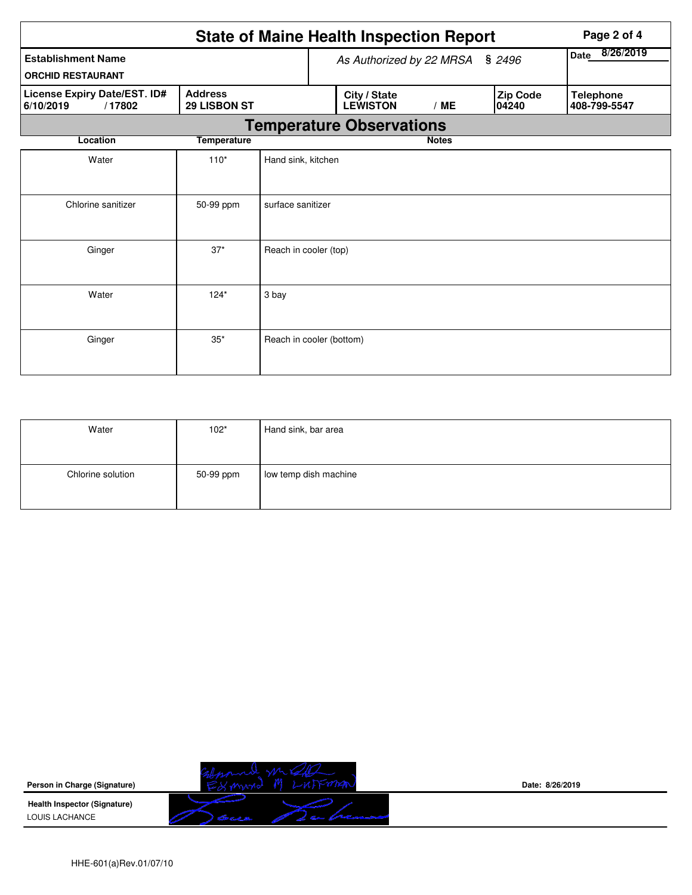|                                                       |                                       |                          | <b>State of Maine Health Inspection Report</b> |                                 |                |  |                          | Page 2 of 4                      |
|-------------------------------------------------------|---------------------------------------|--------------------------|------------------------------------------------|---------------------------------|----------------|--|--------------------------|----------------------------------|
| <b>Establishment Name</b><br><b>ORCHID RESTAURANT</b> |                                       |                          |                                                | As Authorized by 22 MRSA        | Date 8/26/2019 |  |                          |                                  |
| License Expiry Date/EST. ID#<br>6/10/2019<br>/17802   | <b>Address</b><br><b>29 LISBON ST</b> |                          |                                                | City / State<br><b>LEWISTON</b> | /ME            |  | <b>Zip Code</b><br>04240 | <b>Telephone</b><br>408-799-5547 |
|                                                       |                                       |                          |                                                | <b>Temperature Observations</b> |                |  |                          |                                  |
| Location                                              | <b>Temperature</b>                    |                          |                                                |                                 | <b>Notes</b>   |  |                          |                                  |
| Water                                                 | $110*$                                | Hand sink, kitchen       |                                                |                                 |                |  |                          |                                  |
| Chlorine sanitizer<br>surface sanitizer<br>50-99 ppm  |                                       |                          |                                                |                                 |                |  |                          |                                  |
| Ginger                                                | $37*$                                 | Reach in cooler (top)    |                                                |                                 |                |  |                          |                                  |
| Water                                                 | $124*$                                | 3 bay                    |                                                |                                 |                |  |                          |                                  |
| Ginger                                                | $35*$                                 | Reach in cooler (bottom) |                                                |                                 |                |  |                          |                                  |

| Water             | $102*$    | Hand sink, bar area   |
|-------------------|-----------|-----------------------|
| Chlorine solution | 50-99 ppm | low temp dish machine |

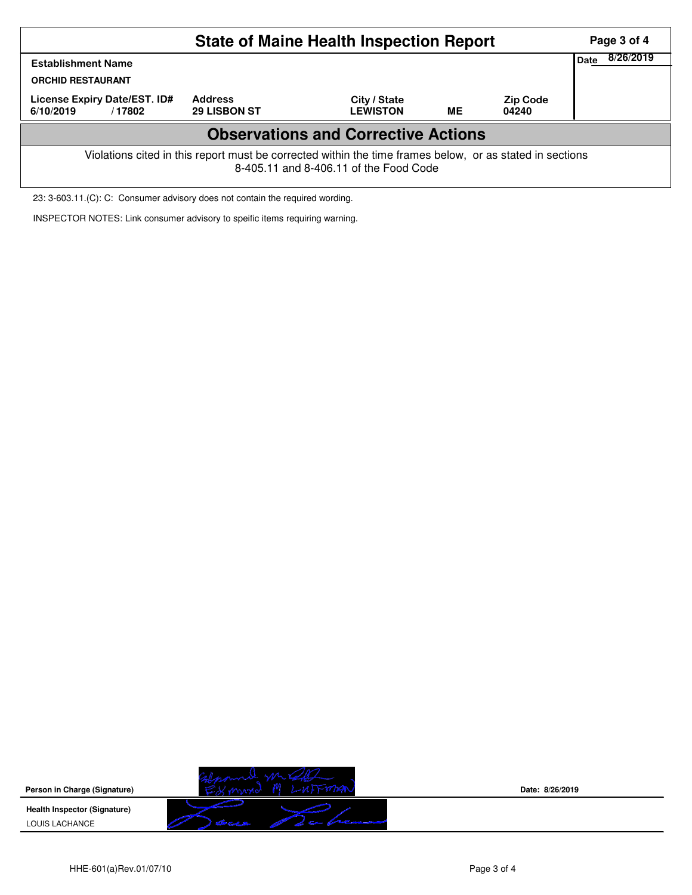|                                                                                                                                                    |                                       | Page 3 of 4                     |           |                          |  |  |  |  |  |  |
|----------------------------------------------------------------------------------------------------------------------------------------------------|---------------------------------------|---------------------------------|-----------|--------------------------|--|--|--|--|--|--|
| <b>Establishment Name</b><br><b>ORCHID RESTAURANT</b>                                                                                              | Date                                  | 8/26/2019                       |           |                          |  |  |  |  |  |  |
| License Expiry Date/EST. ID#<br>6/10/2019<br>/17802                                                                                                | <b>Address</b><br><b>29 LISBON ST</b> | City / State<br><b>LEWISTON</b> | <b>ME</b> | <b>Zip Code</b><br>04240 |  |  |  |  |  |  |
| <b>Observations and Corrective Actions</b>                                                                                                         |                                       |                                 |           |                          |  |  |  |  |  |  |
| Violations cited in this report must be corrected within the time frames below, or as stated in sections<br>8-405.11 and 8-406.11 of the Food Code |                                       |                                 |           |                          |  |  |  |  |  |  |

23: 3-603.11.(C): C: Consumer advisory does not contain the required wording.

INSPECTOR NOTES: Link consumer advisory to speific items requiring warning.